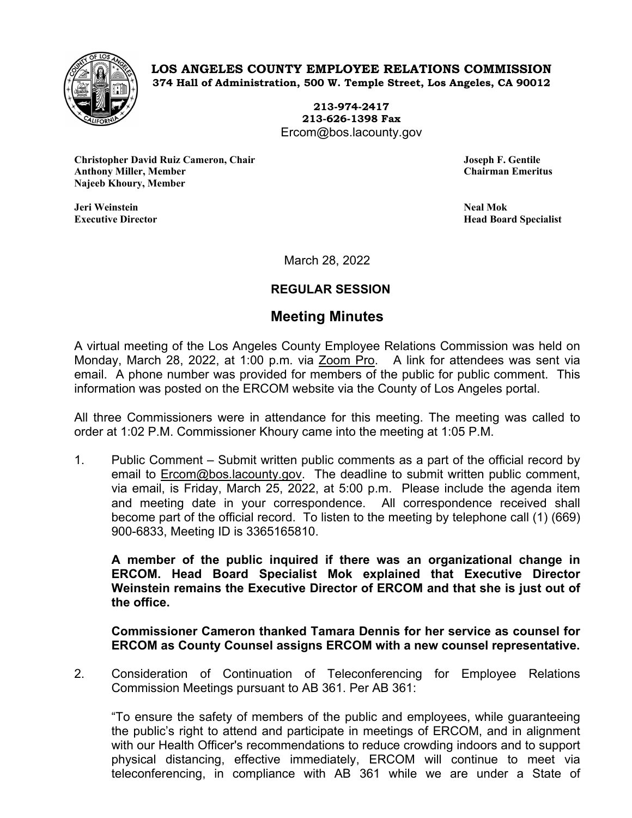

**LOS ANGELES COUNTY EMPLOYEE RELATIONS COMMISSION 374 Hall of Administration, 500 W. Temple Street, Los Angeles, CA 90012**

> **213-974-2417 213-626-1398 Fax** Ercom@bos.lacounty.gov

**Christopher David Ruiz Cameron, Chair Joseph F. Gentile Anthony Miller, Member Chairman Emeritus Najeeb Khoury, Member**

**Jeri Weinstein Neal Mok**

**Head Board Specialist** 

March 28, 2022

## **REGULAR SESSION**

## **Meeting Minutes**

A virtual meeting of the Los Angeles County Employee Relations Commission was held on Monday, March 28, 2022, at 1:00 p.m. via Zoom Pro. A link for attendees was sent via email. A phone number was provided for members of the public for public comment. This information was posted on the ERCOM website via the County of Los Angeles portal.

All three Commissioners were in attendance for this meeting. The meeting was called to order at 1:02 P.M. Commissioner Khoury came into the meeting at 1:05 P.M.

1. Public Comment – Submit written public comments as a part of the official record by email to **Ercom@bos.lacounty.gov.** The deadline to submit written public comment, via email, is Friday, March 25, 2022, at 5:00 p.m. Please include the agenda item and meeting date in your correspondence. All correspondence received shall become part of the official record. To listen to the meeting by telephone call (1) (669) 900-6833, Meeting ID is 3365165810.

**A member of the public inquired if there was an organizational change in ERCOM. Head Board Specialist Mok explained that Executive Director Weinstein remains the Executive Director of ERCOM and that she is just out of the office.**

**Commissioner Cameron thanked Tamara Dennis for her service as counsel for ERCOM as County Counsel assigns ERCOM with a new counsel representative.** 

2. Consideration of Continuation of Teleconferencing for Employee Relations Commission Meetings pursuant to AB 361. Per AB 361:

"To ensure the safety of members of the public and employees, while guaranteeing the public's right to attend and participate in meetings of ERCOM, and in alignment with our Health Officer's recommendations to reduce crowding indoors and to support physical distancing, effective immediately, ERCOM will continue to meet via teleconferencing, in compliance with AB 361 while we are under a State of